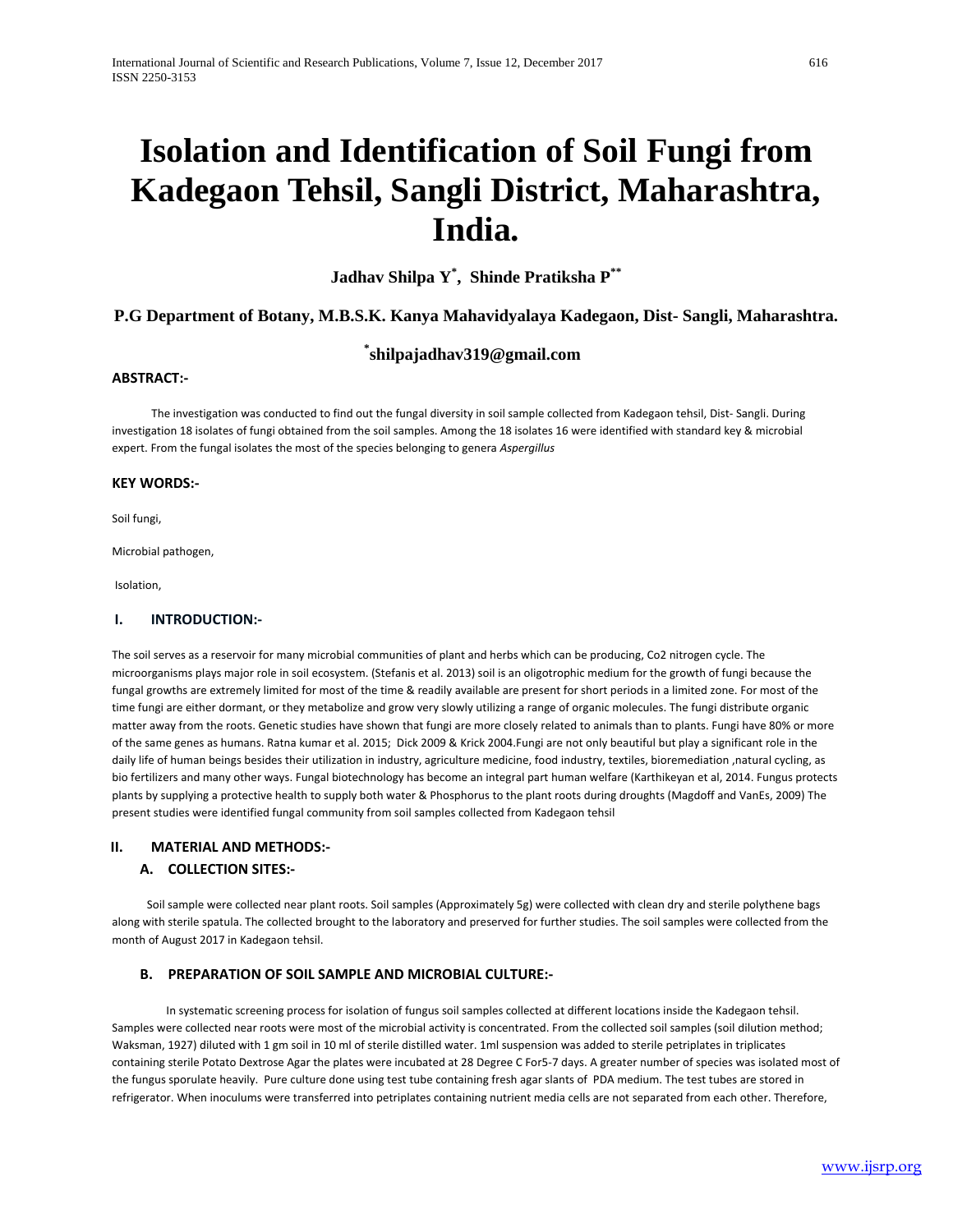# **Isolation and Identification of Soil Fungi from Kadegaon Tehsil, Sangli District, Maharashtra, India.**

**Jadhav Shilpa Y\* , Shinde Pratiksha P\*\***

### **P.G Department of Botany, M.B.S.K. Kanya Mahavidyalaya Kadegaon, Dist- Sangli, Maharashtra.**

# **\* shilpajadhav319@gmail.com**

#### **ABSTRACT:-**

 The investigation was conducted to find out the fungal diversity in soil sample collected from Kadegaon tehsil, Dist- Sangli. During investigation 18 isolates of fungi obtained from the soil samples. Among the 18 isolates 16 were identified with standard key & microbial expert. From the fungal isolates the most of the species belonging to genera *Aspergillus*

#### **KEY WORDS:-**

Soil fungi,

Microbial pathogen,

Isolation,

#### **I. INTRODUCTION:-**

The soil serves as a reservoir for many microbial communities of plant and herbs which can be producing, Co2 nitrogen cycle. The microorganisms plays major role in soil ecosystem. (Stefanis et al. 2013) soil is an oligotrophic medium for the growth of fungi because the fungal growths are extremely limited for most of the time & readily available are present for short periods in a limited zone. For most of the time fungi are either dormant, or they metabolize and grow very slowly utilizing a range of organic molecules. The fungi distribute organic matter away from the roots. Genetic studies have shown that fungi are more closely related to animals than to plants. Fungi have 80% or more of the same genes as humans. Ratna kumar et al. 2015; Dick 2009 & Krick 2004.Fungi are not only beautiful but play a significant role in the daily life of human beings besides their utilization in industry, agriculture medicine, food industry, textiles, bioremediation ,natural cycling, as bio fertilizers and many other ways. Fungal biotechnology has become an integral part human welfare (Karthikeyan et al, 2014. Fungus protects plants by supplying a protective health to supply both water & Phosphorus to the plant roots during droughts (Magdoff and VanEs, 2009) The present studies were identified fungal community from soil samples collected from Kadegaon tehsil

#### **II. MATERIAL AND METHODS:-**

#### **A. COLLECTION SITES:-**

 Soil sample were collected near plant roots. Soil samples (Approximately 5g) were collected with clean dry and sterile polythene bags along with sterile spatula. The collected brought to the laboratory and preserved for further studies. The soil samples were collected from the month of August 2017 in Kadegaon tehsil.

#### **B. PREPARATION OF SOIL SAMPLE AND MICROBIAL CULTURE:-**

 In systematic screening process for isolation of fungus soil samples collected at different locations inside the Kadegaon tehsil. Samples were collected near roots were most of the microbial activity is concentrated. From the collected soil samples (soil dilution method; Waksman, 1927) diluted with 1 gm soil in 10 ml of sterile distilled water. 1ml suspension was added to sterile petriplates in triplicates containing sterile Potato Dextrose Agar the plates were incubated at 28 Degree C For5-7 days. A greater number of species was isolated most of the fungus sporulate heavily. Pure culture done using test tube containing fresh agar slants of PDA medium. The test tubes are stored in refrigerator. When inoculums were transferred into petriplates containing nutrient media cells are not separated from each other. Therefore,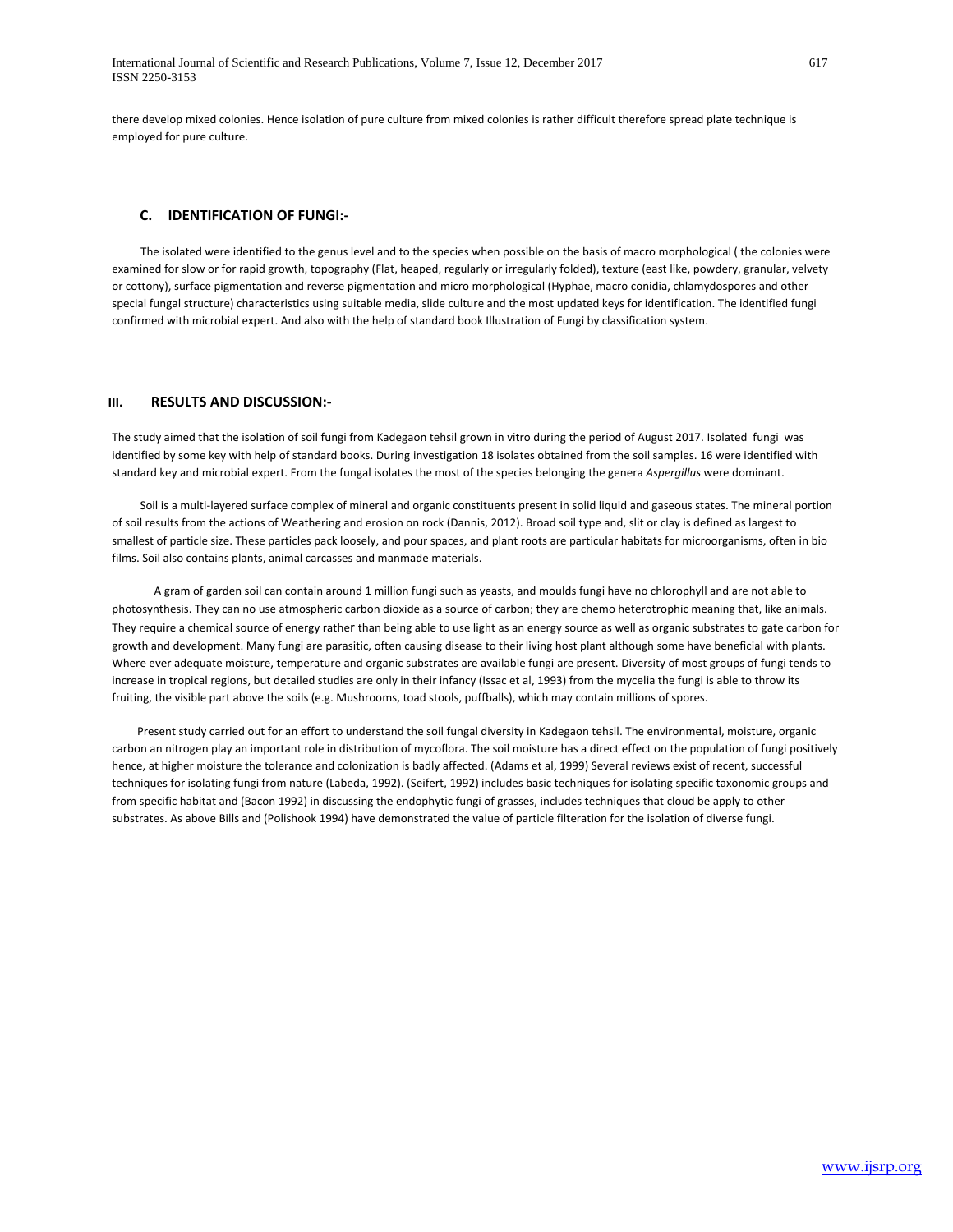there develop mixed colonies. Hence isolation of pure culture from mixed colonies is rather difficult therefore spread plate technique is employed for pure culture.

#### **C. IDENTIFICATION OF FUNGI:-**

 The isolated were identified to the genus level and to the species when possible on the basis of macro morphological ( the colonies were examined for slow or for rapid growth, topography (Flat, heaped, regularly or irregularly folded), texture (east like, powdery, granular, velvety or cottony), surface pigmentation and reverse pigmentation and micro morphological (Hyphae, macro conidia, chlamydospores and other special fungal structure) characteristics using suitable media, slide culture and the most updated keys for identification. The identified fungi confirmed with microbial expert. And also with the help of standard book Illustration of Fungi by classification system.

#### **III. RESULTS AND DISCUSSION:-**

The study aimed that the isolation of soil fungi from Kadegaon tehsil grown in vitro during the period of August 2017. Isolated fungi was identified by some key with help of standard books. During investigation 18 isolates obtained from the soil samples. 16 were identified with standard key and microbial expert. From the fungal isolates the most of the species belonging the genera *Aspergillus* were dominant.

 Soil is a multi-layered surface complex of mineral and organic constituents present in solid liquid and gaseous states. The mineral portion of soil results from the actions of Weathering and erosion on rock (Dannis, 2012). Broad soil type and, slit or clay is defined as largest to smallest of particle size. These particles pack loosely, and pour spaces, and plant roots are particular habitats for microorganisms, often in bio films. Soil also contains plants, animal carcasses and manmade materials.

 A gram of garden soil can contain around 1 million fungi such as yeasts, and moulds fungi have no chlorophyll and are not able to photosynthesis. They can no use atmospheric carbon dioxide as a source of carbon; they are chemo heterotrophic meaning that, like animals. They require a chemical source of energy rather than being able to use light as an energy source as well as organic substrates to gate carbon for growth and development. Many fungi are parasitic, often causing disease to their living host plant although some have beneficial with plants. Where ever adequate moisture, temperature and organic substrates are available fungi are present. Diversity of most groups of fungi tends to increase in tropical regions, but detailed studies are only in their infancy (Issac et al, 1993) from the mycelia the fungi is able to throw its fruiting, the visible part above the soils (e.g. Mushrooms, toad stools, puffballs), which may contain millions of spores.

 Present study carried out for an effort to understand the soil fungal diversity in Kadegaon tehsil. The environmental, moisture, organic carbon an nitrogen play an important role in distribution of mycoflora. The soil moisture has a direct effect on the population of fungi positively hence, at higher moisture the tolerance and colonization is badly affected. (Adams et al, 1999) Several reviews exist of recent, successful techniques for isolating fungi from nature (Labeda, 1992). (Seifert, 1992) includes basic techniques for isolating specific taxonomic groups and from specific habitat and (Bacon 1992) in discussing the endophytic fungi of grasses, includes techniques that cloud be apply to other substrates. As above Bills and (Polishook 1994) have demonstrated the value of particle filteration for the isolation of diverse fungi.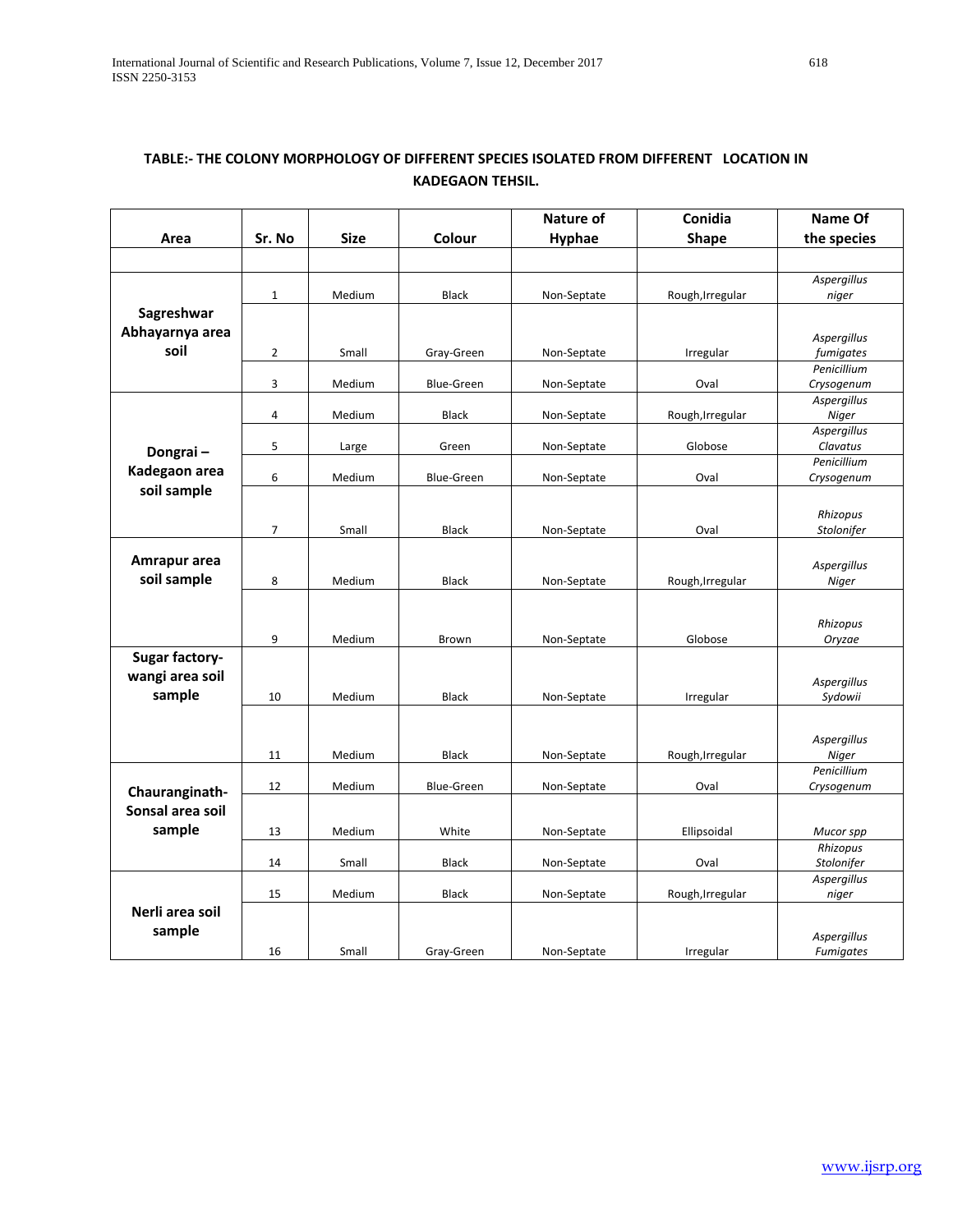|                       |                |             |                   | <b>Nature of</b> | Conidia          | Name Of              |
|-----------------------|----------------|-------------|-------------------|------------------|------------------|----------------------|
| Area                  | Sr. No         | <b>Size</b> | Colour            | Hyphae           | <b>Shape</b>     | the species          |
|                       |                |             |                   |                  |                  |                      |
|                       |                |             |                   |                  |                  | Aspergillus          |
|                       | $\mathbf{1}$   | Medium      | <b>Black</b>      | Non-Septate      | Rough, Irregular | niger                |
| Sagreshwar            |                |             |                   |                  |                  |                      |
| Abhayarnya area       |                |             |                   |                  |                  | Aspergillus          |
| soil                  | $\overline{2}$ | Small       | Gray-Green        | Non-Septate      | Irregular        | fumigates            |
|                       |                |             |                   |                  |                  | Penicillium          |
|                       | 3              | Medium      | <b>Blue-Green</b> | Non-Septate      | Oval             | Crysogenum           |
|                       | 4              | Medium      | <b>Black</b>      |                  | Rough, Irregular | Aspergillus<br>Niger |
|                       |                |             |                   | Non-Septate      |                  | Aspergillus          |
| Dongrai-              | 5              | Large       | Green             | Non-Septate      | Globose          | Clavatus             |
| Kadegaon area         |                |             |                   |                  |                  | Penicillium          |
|                       | 6              | Medium      | <b>Blue-Green</b> | Non-Septate      | Oval             | Crysogenum           |
| soil sample           |                |             |                   |                  |                  |                      |
|                       |                |             |                   |                  |                  | Rhizopus             |
|                       | $\overline{7}$ | Small       | <b>Black</b>      | Non-Septate      | Oval             | Stolonifer           |
| Amrapur area          |                |             |                   |                  |                  |                      |
| soil sample           | 8              | Medium      | <b>Black</b>      | Non-Septate      |                  | Aspergillus<br>Niger |
|                       |                |             |                   |                  | Rough, Irregular |                      |
|                       |                |             |                   |                  |                  |                      |
|                       |                |             |                   |                  |                  | Rhizopus             |
|                       | 9              | Medium      | Brown             | Non-Septate      | Globose          | Oryzae               |
| <b>Sugar factory-</b> |                |             |                   |                  |                  |                      |
| wangi area soil       |                |             |                   |                  |                  | Aspergillus          |
| sample                | 10             | Medium      | <b>Black</b>      | Non-Septate      | Irregular        | Sydowii              |
|                       |                |             |                   |                  |                  |                      |
|                       |                |             |                   |                  |                  | Aspergillus          |
|                       | 11             | Medium      | <b>Black</b>      | Non-Septate      | Rough, Irregular | Niger                |
|                       |                |             |                   |                  |                  | Penicillium          |
| Chauranginath-        | 12             | Medium      | <b>Blue-Green</b> | Non-Septate      | Oval             | Crysogenum           |
| Sonsal area soil      |                |             |                   |                  |                  |                      |
| sample                | 13             | Medium      | White             | Non-Septate      | Ellipsoidal      | Mucor spp            |
|                       |                |             |                   |                  |                  | Rhizopus             |
|                       | 14             | Small       | <b>Black</b>      | Non-Septate      | Oval             | Stolonifer           |
|                       |                |             |                   |                  |                  | Aspergillus          |
|                       | 15             | Medium      | <b>Black</b>      | Non-Septate      | Rough, Irregular | niger                |
| Nerli area soil       |                |             |                   |                  |                  |                      |
| sample                |                |             |                   |                  |                  | Aspergillus          |
|                       | 16             | Small       | Gray-Green        | Non-Septate      | Irregular        | Fumigates            |

## **TABLE:- THE COLONY MORPHOLOGY OF DIFFERENT SPECIES ISOLATED FROM DIFFERENT LOCATION IN KADEGAON TEHSIL.**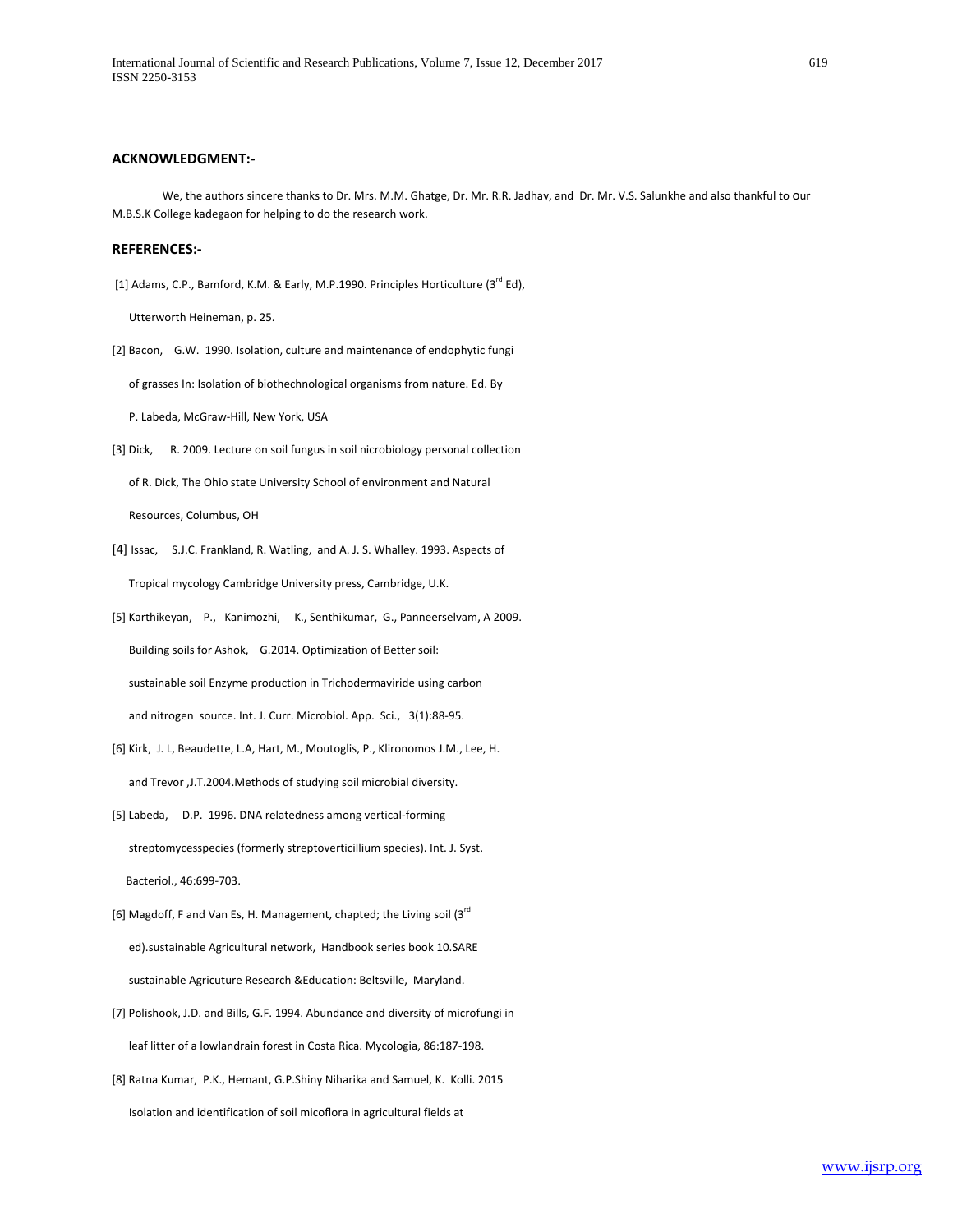#### **ACKNOWLEDGMENT:-**

 We, the authors sincere thanks to Dr. Mrs. M.M. Ghatge, Dr. Mr. R.R. Jadhav, and Dr. Mr. V.S. Salunkhe and also thankful to our M.B.S.K College kadegaon for helping to do the research work.

#### **REFERENCES:-**

[1] Adams, C.P., Bamford, K.M. & Early, M.P.1990. Principles Horticulture (3<sup>rd</sup> Ed),

Utterworth Heineman, p. 25.

[2] Bacon, G.W. 1990. Isolation, culture and maintenance of endophytic fungi

of grasses In: Isolation of biothechnological organisms from nature. Ed. By

P. Labeda, McGraw-Hill, New York, USA

[3] Dick, R. 2009. Lecture on soil fungus in soil nicrobiology personal collection

of R. Dick, The Ohio state University School of environment and Natural

Resources, Columbus, OH

- [4] Issac, S.J.C. Frankland, R. Watling, and A. J. S. Whalley. 1993. Aspects of Tropical mycology Cambridge University press, Cambridge, U.K.
- [5] Karthikeyan, P., Kanimozhi, K., Senthikumar, G., Panneerselvam, A 2009. Building soils for Ashok, G.2014. Optimization of Better soil: sustainable soil Enzyme production in Trichodermaviride using carbon and nitrogen source. Int. J. Curr. Microbiol. App. Sci., 3(1):88-95.
- [6] Kirk, J. L, Beaudette, L.A, Hart, M., Moutoglis, P., Klironomos J.M., Lee, H. and Trevor ,J.T.2004.Methods of studying soil microbial diversity.
- [5] Labeda, D.P. 1996. DNA relatedness among vertical-forming streptomycesspecies (formerly streptoverticillium species). Int. J. Syst. Bacteriol., 46:699-703.
- [6] Magdoff, F and Van Es, H. Management, chapted; the Living soil (3rd ed).sustainable Agricultural network, Handbook series book 10.SARE sustainable Agricuture Research &Education: Beltsville, Maryland.
- [7] Polishook, J.D. and Bills, G.F. 1994. Abundance and diversity of microfungi in leaf litter of a lowlandrain forest in Costa Rica. Mycologia, 86:187-198.
- [8] Ratna Kumar, P.K., Hemant, G.P.Shiny Niharika and Samuel, K. Kolli. 2015 Isolation and identification of soil micoflora in agricultural fields at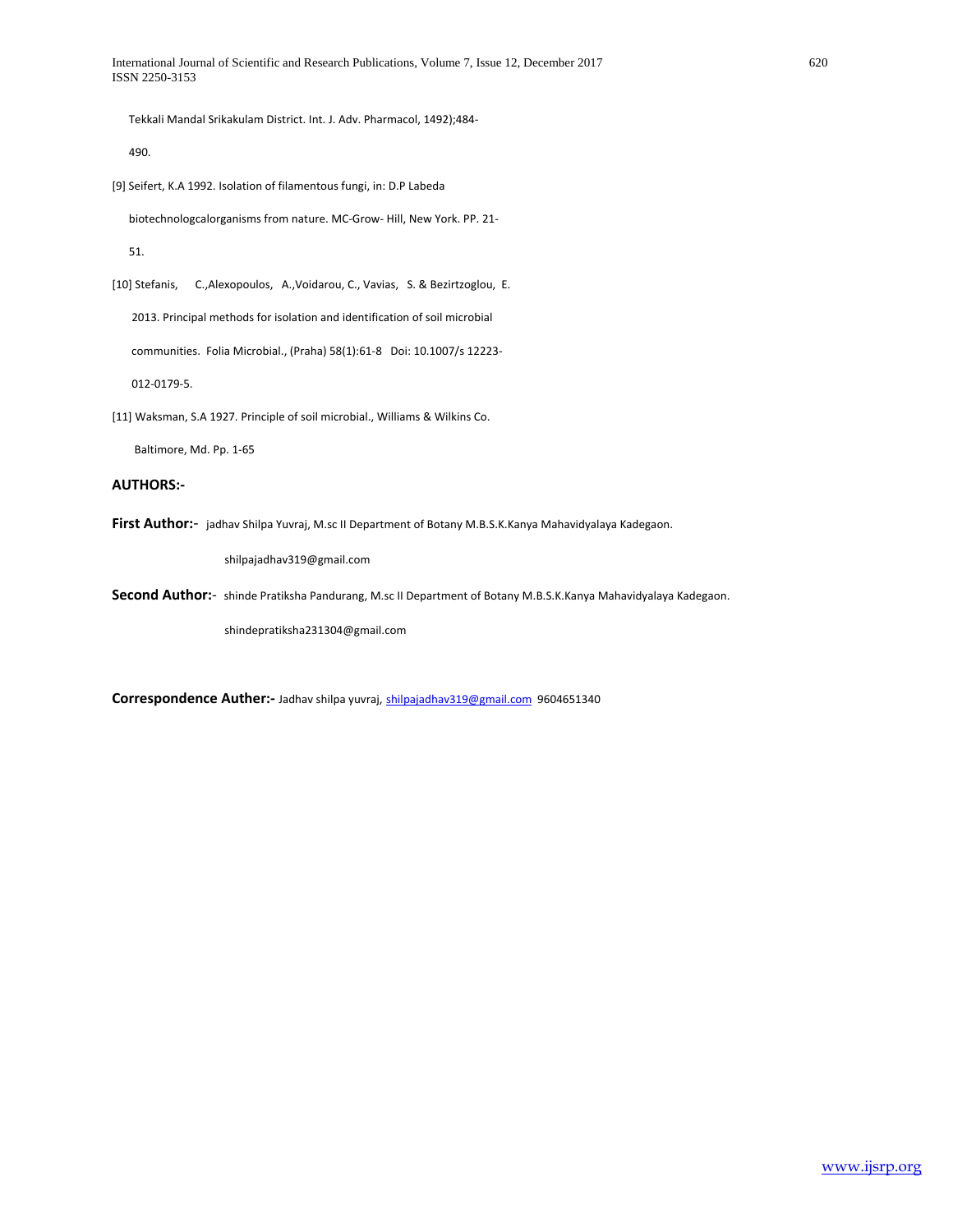Tekkali Mandal Srikakulam District. Int. J. Adv. Pharmacol, 1492);484-

490.

[9] Seifert, K.A 1992. Isolation of filamentous fungi, in: D.P Labeda

biotechnologcalorganisms from nature. MC-Grow- Hill, New York. PP. 21-

51.

[10] Stefanis, C.,Alexopoulos, A.,Voidarou, C., Vavias, S. & Bezirtzoglou, E.

2013. Principal methods for isolation and identification of soil microbial

communities. Folia Microbial., (Praha) 58(1):61-8 Doi: 10.1007/s 12223-

012-0179-5.

[11] Waksman, S.A 1927. Principle of soil microbial., Williams & Wilkins Co.

Baltimore, Md. Pp. 1-65

#### **AUTHORS:-**

**First Author:**- jadhav Shilpa Yuvraj, M.sc II Department of Botany M.B.S.K.Kanya Mahavidyalaya Kadegaon.

shilpajadhav319@gmail.com

**Second Author:**- shinde Pratiksha Pandurang, M.sc II Department of Botany M.B.S.K.Kanya Mahavidyalaya Kadegaon.

shindepratiksha231304@gmail.com

**Correspondence Auther:-** Jadhav shilpa yuvraj, [shilpajadhav319@gmail.com](mailto:shilpajadhav319@gmail.com) 9604651340